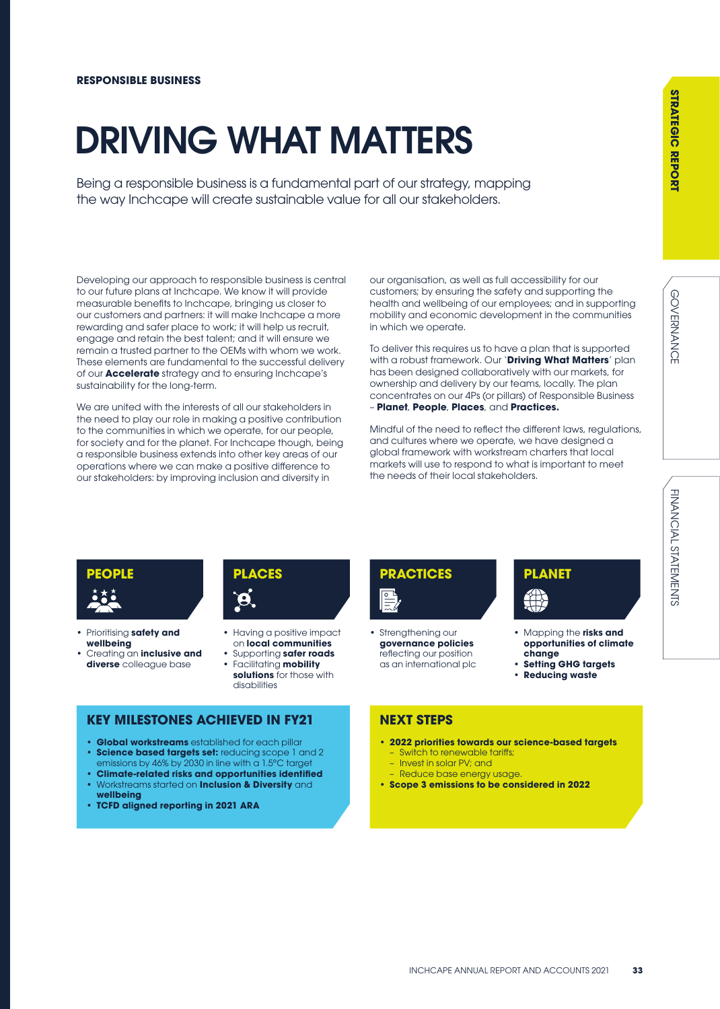FINANCIAL STATEMENTS

# DRIVING WHAT MATTERS

Being a responsible business is a fundamental part of our strategy, mapping the way Inchcape will create sustainable value for all our stakeholders.

Developing our approach to responsible business is central to our future plans at Inchcape. We know it will provide measurable benefits to Inchcape, bringing us closer to our customers and partners: it will make Inchcape a more rewarding and safer place to work; it will help us recruit, engage and retain the best talent; and it will ensure we remain a trusted partner to the OEMs with whom we work. These elements are fundamental to the successful delivery of our **Accelerate** strategy and to ensuring Inchcape's sustainability for the long-term.

We are united with the interests of all our stakeholders in the need to play our role in making a positive contribution to the communities in which we operate, for our people, for society and for the planet. For Inchcape though, being a responsible business extends into other key areas of our operations where we can make a positive difference to our stakeholders: by improving inclusion and diversity in

our organisation, as well as full accessibility for our customers; by ensuring the safety and supporting the health and wellbeing of our employees; and in supporting mobility and economic development in the communities in which we operate.

To deliver this requires us to have a plan that is supported with a robust framework. Our '**Driving What Matters**' plan has been designed collaboratively with our markets, for ownership and delivery by our teams, locally. The plan concentrates on our 4Ps (or pillars) of Responsible Business – **Planet**, **People**, **Places**, and **Practices.**

Mindful of the need to reflect the different laws, regulations, and cultures where we operate, we have designed a global framework with workstream charters that local markets will use to respond to what is important to meet the needs of their local stakeholders.



- Prioritising **safety and wellbeing**
- Creating an **inclusive and diverse** colleague base



- Having a positive impact on **local communities**
- Supporting **safer roads** • Facilitating **mobility**
- **solutions** for those with disabilities

### **KEY MILESTONES ACHIEVED IN FY21**

- **Global workstreams** established for each pillar • **Science based targets set:** reducing scope 1 and 2 emissions by 46% by 2030 in line with a 1.5°C target
- **Climate-related risks and opportunities identified** • Workstreams started on **Inclusion & Diversity** and
- **wellbeing** • **TCFD aligned reporting in 2021 ARA**



Strengthening our **governance policies**  reflecting our position as an international plc

## **PLANET**

- Mapping the **risks and opportunities of climate change**
- **Setting GHG targets**
- **Reducing waste**

### **NEXT STEPS**

- **2022 priorities towards our science-based targets** Switch to renewable tariffs;
	- Invest in solar PV; and
	- Reduce base energy usage.
- **Scope 3 emissions to be considered in 2022**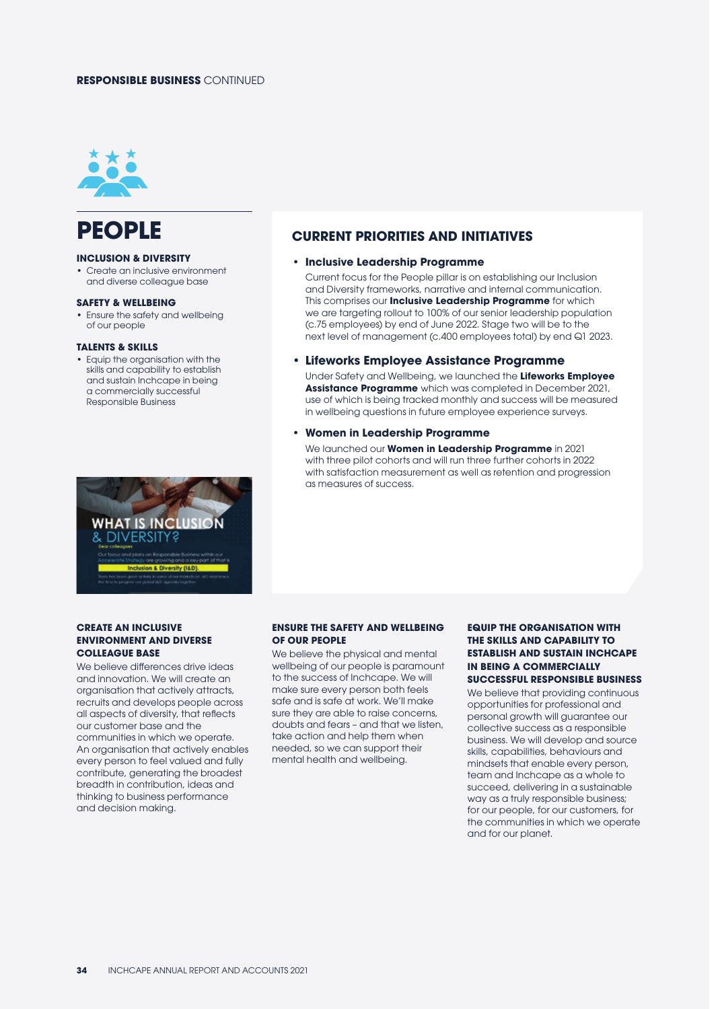### **RESPONSIBLE BUSINESS** CONTINUED



### **PEOPLE**

### **INCLUSION & DIVERSITY**

• Create an inclusive environment and diverse colleague base

#### **SAFETY & WELLBEING**

• Ensure the safety and wellbeing of our people

### **TALENTS & SKILLS**

• Equip the organisation with the skills and capability to establish and sustain Inchcape in being a commercially successful Responsible Business



### **CURRENT PRIORITIES AND INITIATIVES**

### **• Inclusive Leadership Programme**

Current focus for the People pillar is on establishing our Inclusion and Diversity frameworks, narrative and internal communication. This comprises our **Inclusive Leadership Programme** for which we are targeting rollout to 100% of our senior leadership population (c.75 employees) by end of June 2022. Stage two will be to the next level of management (c.400 employees total) by end Q1 2023.

### **• Lifeworks Employee Assistance Programme**

Under Safety and Wellbeing, we launched the **Lifeworks Employee Assistance Programme** which was completed in December 2021, use of which is being tracked monthly and success will be measured in wellbeing questions in future employee experience surveys.

### **• Women in Leadership Programme**

We launched our **Women in Leadership Programme** in 2021 with three pilot cohorts and will run three further cohorts in 2022 with satisfaction measurement as well as retention and progression as measures of success.

### **CREATE AN INCLUSIVE ENVIRONMENT AND DIVERSE COLLEAGUE BASE**

We believe differences drive ideas and innovation. We will create an organisation that actively attracts, recruits and develops people across all aspects of diversity, that reflects our customer base and the communities in which we operate. An organisation that actively enables every person to feel valued and fully contribute, generating the broadest breadth in contribution, ideas and thinking to business performance and decision making.

### **ENSURE THE SAFETY AND WELLBEING OF OUR PEOPLE**

We believe the physical and mental wellbeing of our people is paramount to the success of Inchcape. We will make sure every person both feels safe and is safe at work. We'll make sure they are able to raise concerns, doubts and fears – and that we listen, take action and help them when needed, so we can support their mental health and wellbeing.

### **EQUIP THE ORGANISATION WITH THE SKILLS AND CAPABILITY TO ESTABLISH AND SUSTAIN INCHCAPE IN BEING A COMMERCIALLY SUCCESSFUL RESPONSIBLE BUSINESS**

We believe that providing continuous opportunities for professional and personal growth will guarantee our collective success as a responsible business. We will develop and source skills, capabilities, behaviours and mindsets that enable every person, team and Inchcape as a whole to succeed, delivering in a sustainable way as a truly responsible business; for our people, for our customers, for the communities in which we operate and for our planet.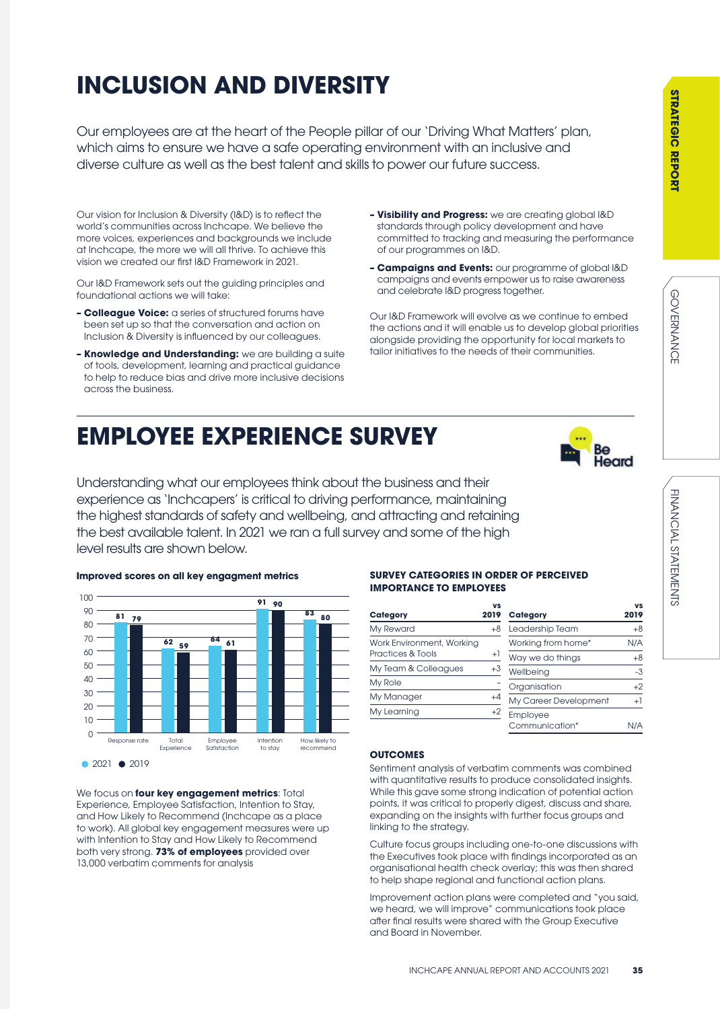## **INCLUSION AND DIVERSITY**

Our employees are at the heart of the People pillar of our 'Driving What Matters' plan, which aims to ensure we have a safe operating environment with an inclusive and diverse culture as well as the best talent and skills to power our future success.

Our vision for Inclusion & Diversity (I&D) is to reflect the world's communities across Inchcape. We believe the more voices, experiences and backgrounds we include at Inchcape, the more we will all thrive. To achieve this vision we created our first I&D Framework in 2021.

Our I&D Framework sets out the guiding principles and foundational actions we will take:

- **Colleague Voice:** a series of structured forums have been set up so that the conversation and action on Inclusion & Diversity is influenced by our colleagues.
- **Knowledge and Understanding:** we are building a suite of tools, development, learning and practical guidance to help to reduce bias and drive more inclusive decisions across the business.
- **Visibility and Progress:** we are creating global I&D standards through policy development and have committed to tracking and measuring the performance of our programmes on I&D.
- **Campaigns and Events:** our programme of global I&D campaigns and events empower us to raise awareness and celebrate I&D progress together.

Our I&D Framework will evolve as we continue to embed the actions and it will enable us to develop global priorities alongside providing the opportunity for local markets to tailor initiatives to the needs of their communities.

### **EMPLOYEE EXPERIENCE SURVEY**



Understanding what our employees think about the business and their experience as 'Inchcapers' is critical to driving performance, maintaining the highest standards of safety and wellbeing, and attracting and retaining the best available talent. In 2021 we ran a full survey and some of the high level results are shown below.



We focus on **four key engagement metrics**: Total Experience, Employee Satisfaction, Intention to Stay, and How Likely to Recommend (Inchcape as a place to work). All global key engagement measures were up with Intention to Stay and How Likely to Recommend both very strong. **73% of employees** provided over 13,000 verbatim comments for analysis

### **SURVEY CATEGORIES IN ORDER OF PERCEIVED IMPORTANCE TO EMPLOYEES**

| Category                  | vs<br>2019 | <b>Category</b>       | vs<br>2019 |
|---------------------------|------------|-----------------------|------------|
| My Reward                 | $+8$       | Leadership Team       | $+8$       |
| Work Environment, Working |            | Working from home*    | N/A        |
| Practices & Tools         | $+1$       | Way we do things      | $+8$       |
| My Team & Colleagues      | $+3$       | Wellbeing             | $-3$       |
| My Role                   |            | Organisation          | $+2$       |
| My Manager                | $+4$       | My Career Development | $^{+1}$    |
| My Learning               | $+2$       | Employee              |            |
|                           |            | Communication*        | N/A        |

### **OUTCOMES**

Sentiment analysis of verbatim comments was combined with quantitative results to produce consolidated insights. While this gave some strong indication of potential action points, it was critical to properly digest, discuss and share, expanding on the insights with further focus groups and linking to the strategy.

Culture focus groups including one-to-one discussions with the Executives took place with findings incorporated as an organisational health check overlay; this was then shared to help shape regional and functional action plans.

Improvement action plans were completed and "you said, we heard, we will improve" communications took place after final results were shared with the Group Executive and Board in November.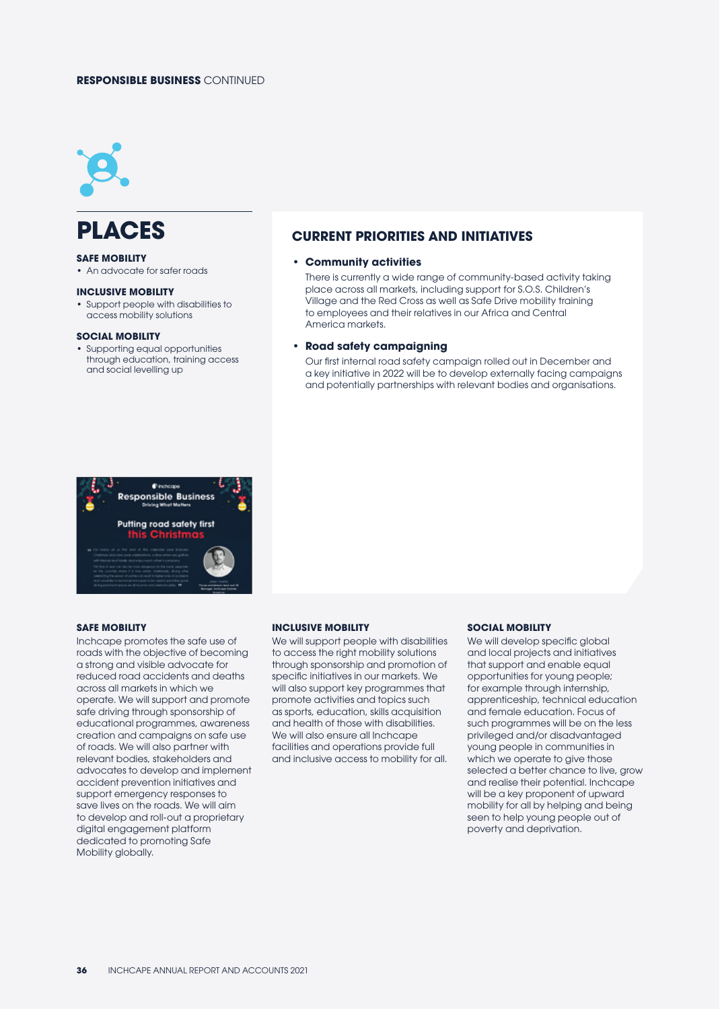### **RESPONSIBLE BUSINESS** CONTINUED



### **PLACES**

#### **SAFE MOBILITY**

• An advocate for safer roads

### **INCLUSIVE MOBILITY**

• Support people with disabilities to access mobility solutions

#### **SOCIAL MOBILITY**

• Supporting equal opportunities through education, training access and social levelling up



### **SAFE MOBILITY**

Inchcape promotes the safe use of roads with the objective of becoming a strong and visible advocate for reduced road accidents and deaths across all markets in which we operate. We will support and promote safe driving through sponsorship of educational programmes, awareness creation and campaigns on safe use of roads. We will also partner with relevant bodies, stakeholders and advocates to develop and implement accident prevention initiatives and support emergency responses to save lives on the roads. We will aim to develop and roll-out a proprietary digital engagement platform dedicated to promoting Safe Mobility globally.

#### **INCLUSIVE MOBILITY**

We will support people with disabilities to access the right mobility solutions through sponsorship and promotion of specific initiatives in our markets. We will also support key programmes that promote activities and topics such as sports, education, skills acquisition and health of those with disabilities. We will also ensure all Inchcape facilities and operations provide full and inclusive access to mobility for all.

### **SOCIAL MOBILITY**

We will develop specific global and local projects and initiatives that support and enable equal opportunities for young people; for example through internship, apprenticeship, technical education and female education. Focus of such programmes will be on the less privileged and/or disadvantaged young people in communities in which we operate to give those selected a better chance to live, grow and realise their potential. Inchcape will be a key proponent of upward mobility for all by helping and being seen to help young people out of poverty and deprivation.

### **CURRENT PRIORITIES AND INITIATIVES**

### **• Community activities**

There is currently a wide range of community-based activity taking place across all markets, including support for S.O.S. Children's Village and the Red Cross as well as Safe Drive mobility training to employees and their relatives in our Africa and Central America markets.

### **• Road safety campaigning**

Our first internal road safety campaign rolled out in December and a key initiative in 2022 will be to develop externally facing campaigns and potentially partnerships with relevant bodies and organisations.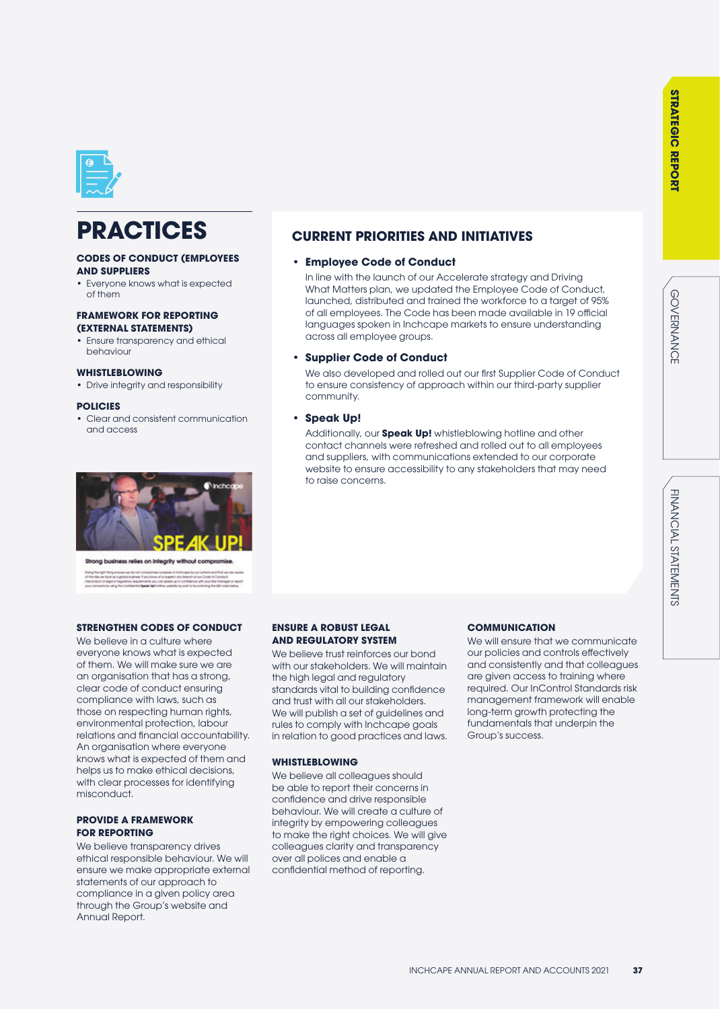

### **PRACTICES**

### **CODES OF CONDUCT (EMPLOYEES AND SUPPLIERS**

• Everyone knows what is expected of them

### **FRAMEWORK FOR REPORTING (EXTERNAL STATEMENTS)**

• Ensure transparency and ethical behaviour

### **WHISTLEBLOWING**

• Drive integrity and responsibility

### **POLICIES**

• Clear and consistent communication and access



siness relies on integrity wi

### **STRENGTHEN CODES OF CONDUCT**

We believe in a culture where everyone knows what is expected of them. We will make sure we are an organisation that has a strong, clear code of conduct ensuring compliance with laws, such as those on respecting human rights, environmental protection, labour relations and financial accountability. An organisation where everyone knows what is expected of them and helps us to make ethical decisions, with clear processes for identifying misconduct.

### **PROVIDE A FRAMEWORK FOR REPORTING**

We believe transparency drives ethical responsible behaviour. We will ensure we make appropriate external statements of our approach to compliance in a given policy area through the Group's website and Annual Report.

### **CURRENT PRIORITIES AND INITIATIVES**

### **• Employee Code of Conduct**

In line with the launch of our Accelerate strategy and Driving What Matters plan, we updated the Employee Code of Conduct, launched, distributed and trained the workforce to a target of 95% of all employees. The Code has been made available in 19 official languages spoken in Inchcape markets to ensure understanding across all employee groups.

### **• Supplier Code of Conduct**

We also developed and rolled out our first Supplier Code of Conduct to ensure consistency of approach within our third-party supplier community.

### **• Speak Up!**

Additionally, our **Speak Up!** whistleblowing hotline and other contact channels were refreshed and rolled out to all employees and suppliers, with communications extended to our corporate website to ensure accessibility to any stakeholders that may need to raise concerns.

### **ENSURE A ROBUST LEGAL AND REGULATORY SYSTEM**

We believe trust reinforces our bond with our stakeholders. We will maintain the high legal and regulatory standards vital to building confidence and trust with all our stakeholders. We will publish a set of guidelines and rules to comply with Inchcape goals in relation to good practices and laws.

### **WHISTLEBLOWING**

We believe all colleagues should be able to report their concerns in confidence and drive responsible behaviour. We will create a culture of integrity by empowering colleagues to make the right choices. We will give colleagues clarity and transparency over all polices and enable a confidential method of reporting.

### **COMMUNICATION**

We will ensure that we communicate our policies and controls effectively and consistently and that colleagues are given access to training where required. Our InControl Standards risk management framework will enable long-term growth protecting the fundamentals that underpin the Group's success.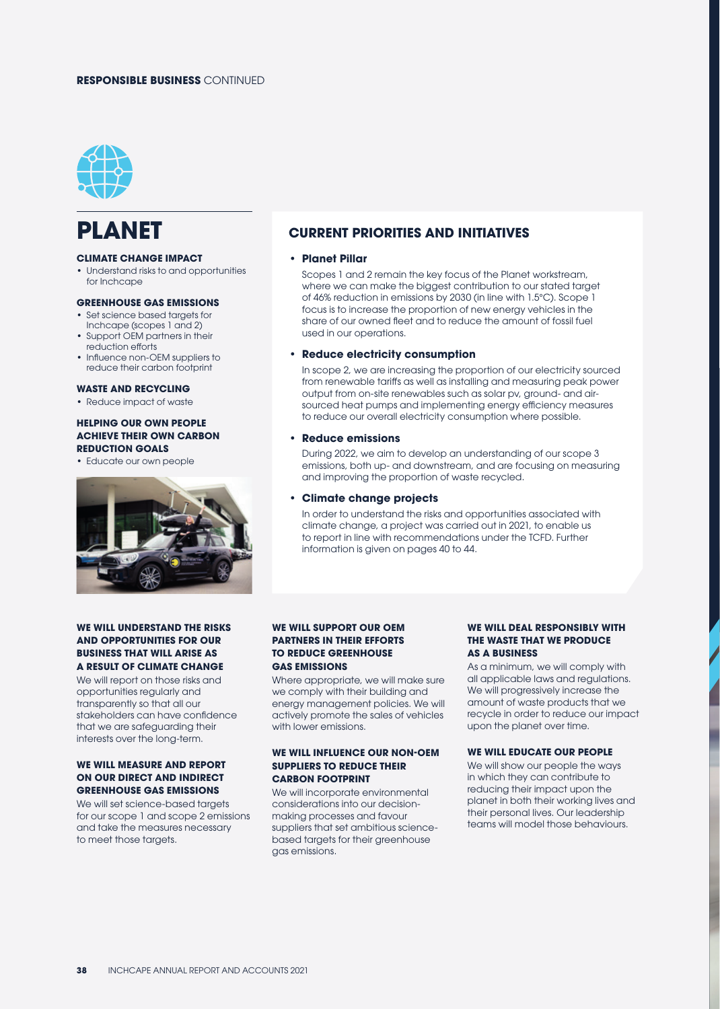### **RESPONSIBLE BUSINESS** CONTINUED



### **PLANET**

### **CLIMATE CHANGE IMPACT**

• Understand risks to and opportunities for Inchcape

### **GREENHOUSE GAS EMISSIONS**

- Set science based targets for Inchcape (scopes 1 and 2)
- Support OEM partners in their reduction efforts
- Influence non-OEM suppliers to reduce their carbon footprint

### **WASTE AND RECYCLING**

• Reduce impact of waste

### **HELPING OUR OWN PEOPLE ACHIEVE THEIR OWN CARBON REDUCTION GOALS**

• Educate our own people



### **WE WILL UNDERSTAND THE RISKS AND OPPORTUNITIES FOR OUR BUSINESS THAT WILL ARISE AS A RESULT OF CLIMATE CHANGE**

We will report on those risks and opportunities regularly and transparently so that all our stakeholders can have confidence that we are safeguarding their interests over the long-term.

### **WE WILL MEASURE AND REPORT ON OUR DIRECT AND INDIRECT GREENHOUSE GAS EMISSIONS**

We will set science-based targets for our scope 1 and scope 2 emissions and take the measures necessary to meet those targets.

### **CURRENT PRIORITIES AND INITIATIVES**

### **• Planet Pillar**

Scopes 1 and 2 remain the key focus of the Planet workstream, where we can make the biggest contribution to our stated target of 46% reduction in emissions by 2030 (in line with 1.5°C). Scope 1 focus is to increase the proportion of new energy vehicles in the share of our owned fleet and to reduce the amount of fossil fuel used in our operations.

### **• Reduce electricity consumption**

In scope 2, we are increasing the proportion of our electricity sourced from renewable tariffs as well as installing and measuring peak power output from on-site renewables such as solar pv, ground- and airsourced heat pumps and implementing energy efficiency measures to reduce our overall electricity consumption where possible.

### **• Reduce emissions**

During 2022, we aim to develop an understanding of our scope 3 emissions, both up- and downstream, and are focusing on measuring and improving the proportion of waste recycled.

### **• Climate change projects**

In order to understand the risks and opportunities associated with climate change, a project was carried out in 2021, to enable us to report in line with recommendations under the TCFD. Further information is given on pages 40 to 44.

### **WE WILL SUPPORT OUR OEM PARTNERS IN THEIR EFFORTS TO REDUCE GREENHOUSE GAS EMISSIONS**

Where appropriate, we will make sure we comply with their building and energy management policies. We will actively promote the sales of vehicles with lower emissions.

### **WE WILL INFLUENCE OUR NON-OEM SUPPLIERS TO REDUCE THEIR CARBON FOOTPRINT**

We will incorporate environmental considerations into our decisionmaking processes and favour suppliers that set ambitious sciencebased targets for their greenhouse gas emissions.

### **WE WILL DEAL PESPONSIBLY WITH THE WASTE THAT WE PRODUCE AS A BUSINESS**

As a minimum, we will comply with all applicable laws and regulations. We will progressively increase the amount of waste products that we recycle in order to reduce our impact upon the planet over time.

### **WE WILL EDUCATE OUR PEOPLE**

We will show our people the ways in which they can contribute to reducing their impact upon the planet in both their working lives and their personal lives. Our leadership teams will model those behaviours.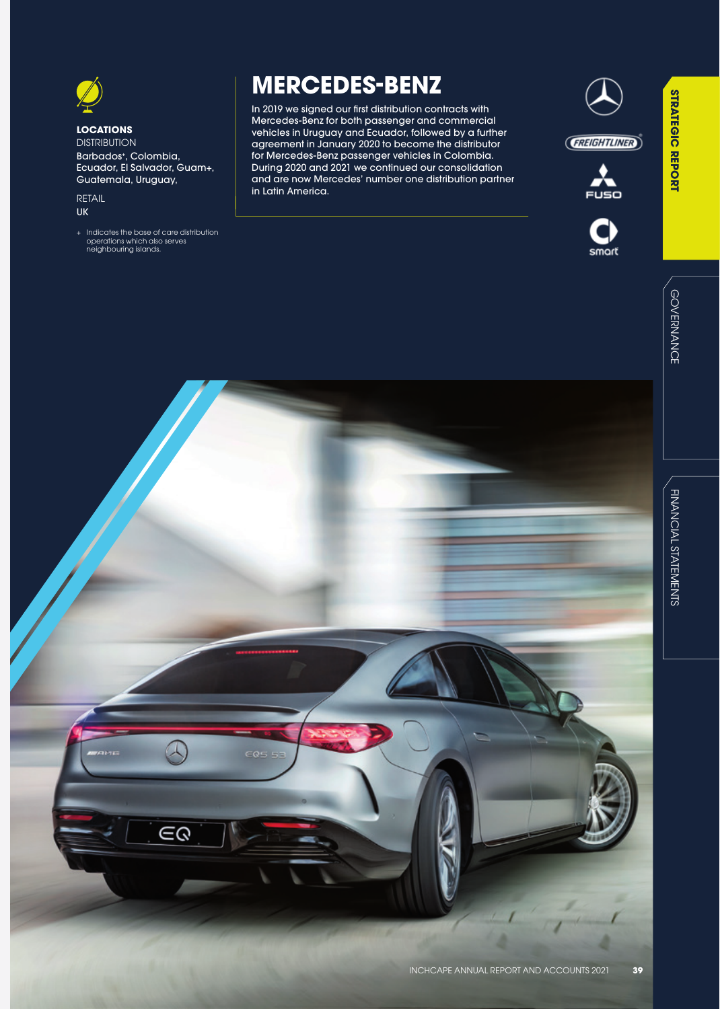### **LOCATIONS DISTRIBUTION**

Barbados+ , Colombia, Ecuador, El Salvador, Guam+, Guatemala, Uruguay,

RETAIL UK

+ Indicates the base of care distribution operations which also serves neighbouring islands.

### **MERCEDES-BENZ**

In 2019 we signed our first distribution contracts with Mercedes-Benz for both passenger and commercial vehicles in Uruguay and Ecuador, followed by a further agreement in January 2020 to become the distributor for Mercedes-Benz passenger vehicles in Colombia. During 2020 and 2021 we continued our consolidation and are now Mercedes' number one distribution partner in Latin America.







**STRATEGIC REPORT**

**STRATEGIC REPORT** 

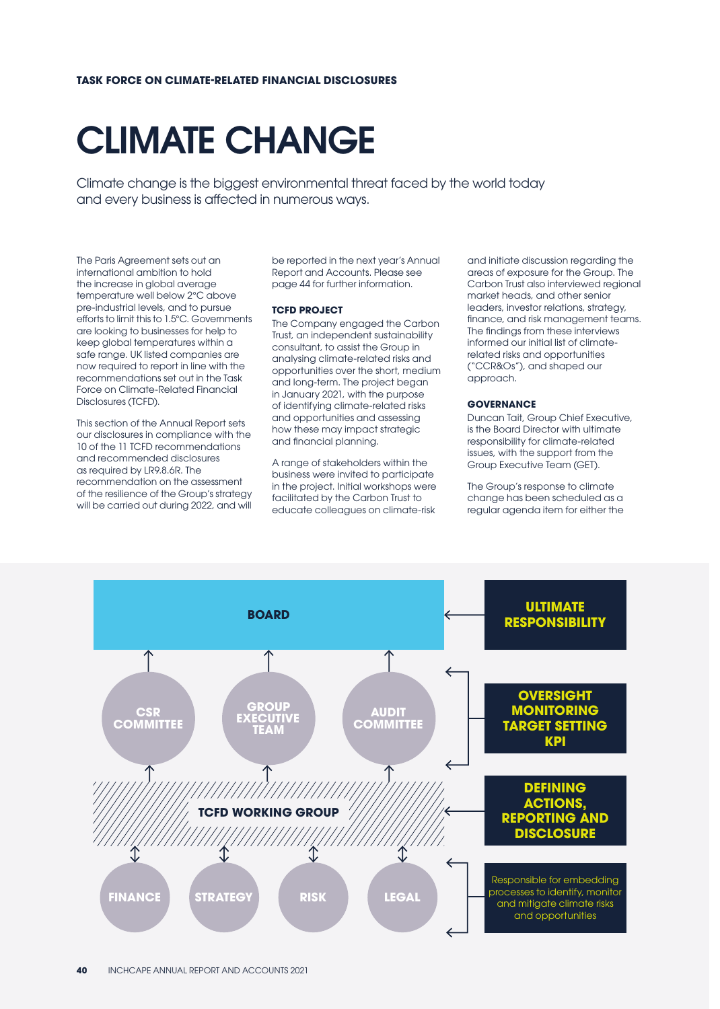# CLIMATE CHANGE

Climate change is the biggest environmental threat faced by the world today and every business is affected in numerous ways.

The Paris Agreement sets out an international ambition to hold the increase in global average temperature well below 2°C above pre-industrial levels, and to pursue efforts to limit this to 1.5°C. Governments are looking to businesses for help to keep global temperatures within a safe range. UK listed companies are now required to report in line with the recommendations set out in the Task Force on Climate-Related Financial Disclosures (TCFD).

This section of the Annual Report sets our disclosures in compliance with the 10 of the 11 TCFD recommendations and recommended disclosures as required by LR9.8.6R. The recommendation on the assessment of the resilience of the Group's strategy will be carried out during 2022, and will be reported in the next year's Annual Report and Accounts. Please see page 44 for further information.

### **TCFD PROJECT**

The Company engaged the Carbon Trust, an independent sustainability consultant, to assist the Group in analysing climate-related risks and opportunities over the short, medium and long-term. The project began in January 2021, with the purpose of identifying climate-related risks and opportunities and assessing how these may impact strategic and financial planning.

A range of stakeholders within the business were invited to participate in the project. Initial workshops were facilitated by the Carbon Trust to educate colleagues on climate-risk

and initiate discussion regarding the areas of exposure for the Group. The Carbon Trust also interviewed regional market heads, and other senior leaders, investor relations, strategy, finance, and risk management teams. The findings from these interviews informed our initial list of climaterelated risks and opportunities ("CCR&Os"), and shaped our approach.

### **GOVERNANCE**

Duncan Tait, Group Chief Executive, is the Board Director with ultimate responsibility for climate-related issues, with the support from the Group Executive Team (GET).

The Group's response to climate change has been scheduled as a regular agenda item for either the

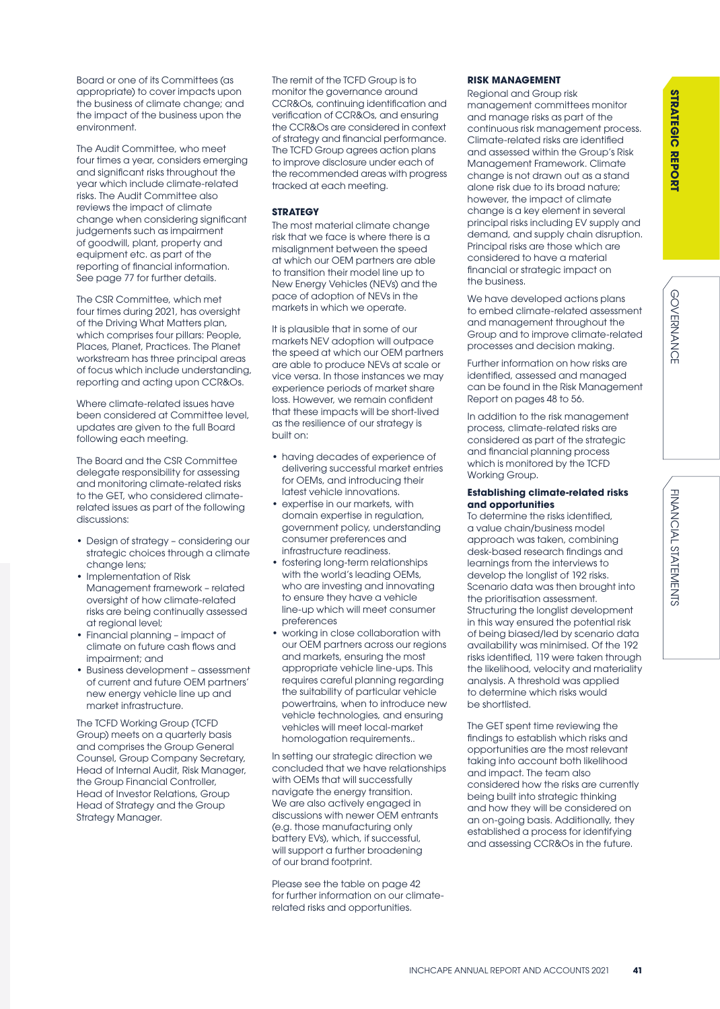FINANCIAL STATEMENTS

Board or one of its Committees (as appropriate) to cover impacts upon the business of climate change; and the impact of the business upon the environment.

The Audit Committee, who meet four times a year, considers emerging and significant risks throughout the year which include climate-related risks. The Audit Committee also reviews the impact of climate change when considering significant judgements such as impairment of goodwill, plant, property and equipment etc. as part of the reporting of financial information. See page 77 for further details.

The CSR Committee, which met four times during 2021, has oversight of the Driving What Matters plan, which comprises four pillars: People, Places, Planet, Practices. The Planet workstream has three principal areas of focus which include understanding, reporting and acting upon CCR&Os.

Where climate-related issues have been considered at Committee level, updates are given to the full Board following each meeting.

The Board and the CSR Committee delegate responsibility for assessing and monitoring climate-related risks to the GET, who considered climaterelated issues as part of the following discussions:

- Design of strategy considering our strategic choices through a climate change lens;
- Implementation of Risk Management framework – related oversight of how climate-related risks are being continually assessed at regional level;
- Financial planning impact of climate on future cash flows and impairment; and
- Business development assessment of current and future OEM partners' new energy vehicle line up and market infrastructure.

The TCFD Working Group (TCFD Group) meets on a quarterly basis and comprises the Group General Counsel, Group Company Secretary, Head of Internal Audit, Risk Manager, the Group Financial Controller, Head of Investor Relations, Group Head of Strategy and the Group Strategy Manager.

The remit of the TCFD Group is to monitor the governance around CCR&Os, continuing identification and verification of CCR&Os, and ensuring the CCR&Os are considered in context of strategy and financial performance. The TCFD Group agrees action plans to improve disclosure under each of the recommended areas with progress tracked at each meeting.

### **STRATEGY**

The most material climate change risk that we face is where there is a misalignment between the speed at which our OEM partners are able to transition their model line up to New Energy Vehicles (NEVs) and the pace of adoption of NEVs in the markets in which we operate.

It is plausible that in some of our markets NEV adoption will outpace the speed at which our OEM partners are able to produce NEVs at scale or vice versa. In those instances we may experience periods of market share loss. However, we remain confident that these impacts will be short-lived as the resilience of our strategy is built on:

- having decades of experience of delivering successful market entries for OEMs, and introducing their latest vehicle innovations.
- expertise in our markets, with domain expertise in regulation, government policy, understanding consumer preferences and infrastructure readiness.
- fostering long-term relationships with the world's leading OEMs, who are investing and innovating to ensure they have a vehicle line-up which will meet consumer preferences
- working in close collaboration with our OEM partners across our regions and markets, ensuring the most appropriate vehicle line-ups. This requires careful planning regarding the suitability of particular vehicle powertrains, when to introduce new vehicle technologies, and ensuring vehicles will meet local-market homologation requirements..

In setting our strategic direction we concluded that we have relationships with OEMs that will successfully navigate the energy transition. We are also actively engaged in discussions with newer OEM entrants (e.g. those manufacturing only battery EVs), which, if successful, will support a further broadening of our brand footprint.

Please see the table on page 42 for further information on our climaterelated risks and opportunities.

### **RISK MANAGEMENT**

Regional and Group risk management committees monitor and manage risks as part of the continuous risk management process. Climate-related risks are identified and assessed within the Group's Risk Management Framework. Climate change is not drawn out as a stand alone risk due to its broad nature; however, the impact of climate change is a key element in several principal risks including EV supply and demand, and supply chain disruption. Principal risks are those which are considered to have a material financial or strategic impact on the business.

We have developed actions plans to embed climate-related assessment and management throughout the Group and to improve climate-related processes and decision making.

Further information on how risks are identified, assessed and managed can be found in the Risk Management Report on pages 48 to 56.

In addition to the risk management process, climate-related risks are considered as part of the strategic and financial planning process which is monitored by the TCFD Working Group.

### **Establishing climate-related risks and opportunities**

To determine the risks identified, a value chain/business model approach was taken, combining desk-based research findings and learnings from the interviews to develop the longlist of 192 risks. Scenario data was then brought into the prioritisation assessment. Structuring the longlist development in this way ensured the potential risk of being biased/led by scenario data availability was minimised. Of the 192 risks identified, 119 were taken through the likelihood, velocity and materiality analysis. A threshold was applied to determine which risks would be shortlisted.

The GET spent time reviewing the findings to establish which risks and opportunities are the most relevant taking into account both likelihood and impact. The team also considered how the risks are currently being built into strategic thinking and how they will be considered on an on-going basis. Additionally, they established a process for identifying and assessing CCR&Os in the future.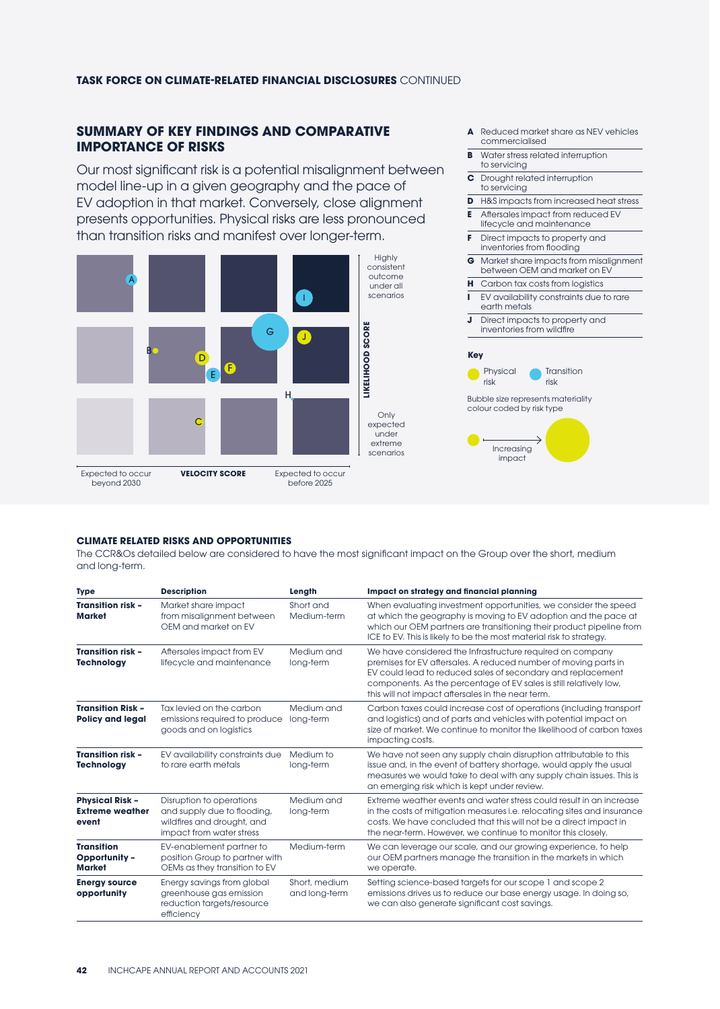### **TASK FORCE ON CLIMATE-RELATED FINANCIAL DISCLOSURES** CONTINUED

### **SUMMARY OF KEY FINDINGS AND COMPARATIVE IMPORTANCE OF RISKS**

Our most significant risk is a potential misalignment between model line-up in a given geography and the pace of EV adoption in that market. Conversely, close alignment presents opportunities. Physical risks are less pronounced than transition risks and manifest over longer-term.



beyond 2030

Expected to occur

before 2025

- **A** Reduced market share as NEV vehicles commercialised
- **B** Water stress related interruption to servicing
- **C** Drought related interruption to servicing
- **D** H&S impacts from increased heat stress
- **E** Aftersales impact from reduced EV lifecycle and maintenance
- **F** Direct impacts to property and inventories from flooding
- **G** Market share impacts from misalignment between OEM and market on EV
- **H** Carbon tax costs from logistics
- **I** EV availability constraints due to rare
- earth metals **J** Direct impacts to property and
- inventories from wildfire

#### **Key**





### **CLIMATE RELATED RISKS AND OPPORTUNITIES**

The CCR&Os detailed below are considered to have the most significant impact on the Group over the short, medium and long-term.

| <b>Type</b>                                               | <b>Description</b>                                                                                                | Length                         | Impact on strategy and financial planning                                                                                                                                                                                                                                                                              |
|-----------------------------------------------------------|-------------------------------------------------------------------------------------------------------------------|--------------------------------|------------------------------------------------------------------------------------------------------------------------------------------------------------------------------------------------------------------------------------------------------------------------------------------------------------------------|
| <b>Transition risk -</b><br><b>Market</b>                 | Market share impact<br>from misalignment between<br>OEM and market on EV                                          | Short and<br>Medium-term       | When evaluating investment opportunities, we consider the speed<br>at which the geography is moving to EV adoption and the pace at<br>which our OEM partners are transitioning their product pipeline from<br>ICE to EV. This is likely to be the most material risk to strategy.                                      |
| <b>Transition risk -</b><br><b>Technology</b>             | Aftersales impact from EV<br>lifecycle and maintenance                                                            | Medium and<br>long-term        | We have considered the Infrastructure required on company<br>premises for EV aftersales. A reduced number of moving parts in<br>EV could lead to reduced sales of secondary and replacement<br>components. As the percentage of EV sales is still relatively low,<br>this will not impact aftersales in the near term. |
| <b>Transition Risk -</b><br><b>Policy and legal</b>       | Tax levied on the carbon<br>emissions required to produce<br>goods and on logistics                               | Medium and<br>long-term        | Carbon taxes could increase cost of operations (including transport<br>and logistics) and of parts and vehicles with potential impact on<br>size of market. We continue to monitor the likelihood of carbon taxes<br>impacting costs.                                                                                  |
| <b>Transition risk -</b><br><b>Technology</b>             | EV availability constraints due<br>to rare earth metals                                                           | Medium to<br>long-term         | We have not seen any supply chain disruption attributable to this<br>issue and, in the event of battery shortage, would apply the usual<br>measures we would take to deal with any supply chain issues. This is<br>an emerging risk which is kept under review.                                                        |
| <b>Physical Risk -</b><br><b>Extreme weather</b><br>event | Disruption to operations<br>and supply due to flooding,<br>wildfires and drought, and<br>impact from water stress | Medium and<br>long-term        | Extreme weather events and water stress could result in an increase<br>in the costs of mitigation measures i.e. relocating sites and insurance<br>costs. We have concluded that this will not be a direct impact in<br>the near-term. However, we continue to monitor this closely.                                    |
| <b>Transition</b><br>Opportunity -<br><b>Market</b>       | EV-enablement partner to<br>position Group to partner with<br>OEMs as they transition to EV                       | Medium-term                    | We can leverage our scale, and our growing experience, to help<br>our OEM partners manage the transition in the markets in which<br>we operate.                                                                                                                                                                        |
| <b>Energy source</b><br>opportunity                       | Energy savings from global<br>greenhouse gas emission<br>reduction targets/resource<br>efficiency                 | Short, medium<br>and long-term | Setting science-based targets for our scope 1 and scope 2<br>emissions drives us to reduce our base energy usage. In doing so,<br>we can also generate significant cost savings.                                                                                                                                       |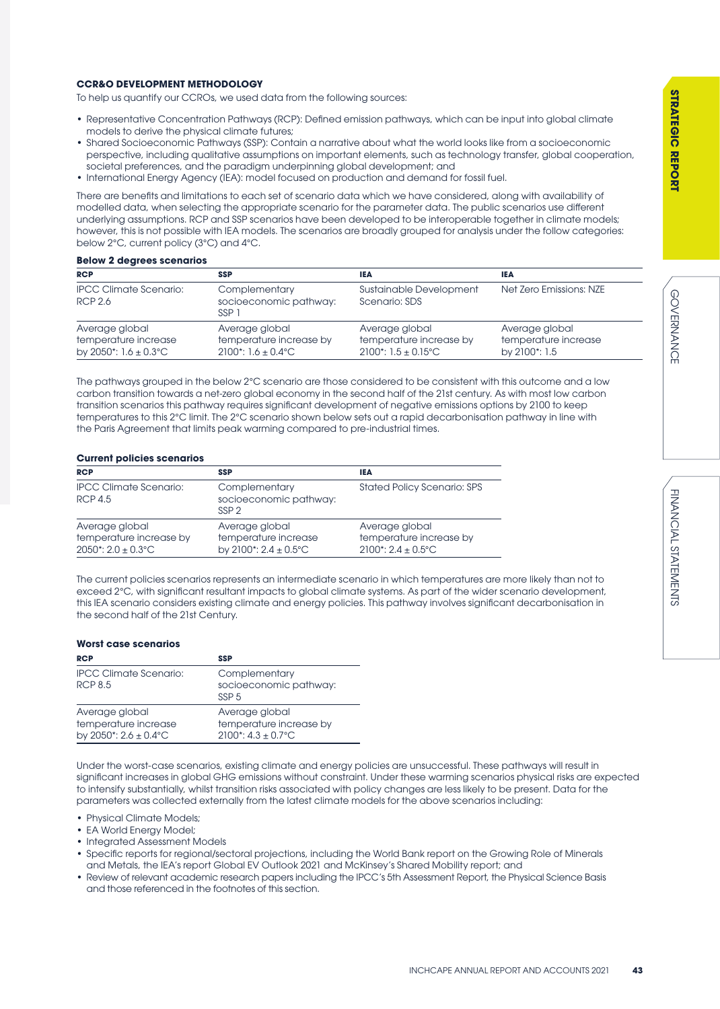GOVERNANCE

**GOVERNANCE** 

### **CCR&O DEVELOPMENT METHODOLOGY**

To help us quantify our CCROs, we used data from the following sources:

- Representative Concentration Pathways (RCP): Defined emission pathways, which can be input into global climate models to derive the physical climate futures;
- Shared Socioeconomic Pathways (SSP): Contain a narrative about what the world looks like from a socioeconomic perspective, including qualitative assumptions on important elements, such as technology transfer, global cooperation, societal preferences, and the paradigm underpinning global development; and
- International Energy Agency (IEA): model focused on production and demand for fossil fuel.

There are benefits and limitations to each set of scenario data which we have considered, along with availability of modelled data, when selecting the appropriate scenario for the parameter data. The public scenarios use different underlying assumptions. RCP and SSP scenarios have been developed to be interoperable together in climate models; however, this is not possible with IEA models. The scenarios are broadly grouped for analysis under the follow categories: below 2°C, current policy (3°C) and 4°C.

### **Below 2 degrees scenarios**

| <b>RCP</b>                                                                  | <b>SSP</b>                                                         | <b>IEA</b>                                                                                       | <b>IEA</b>                                              |
|-----------------------------------------------------------------------------|--------------------------------------------------------------------|--------------------------------------------------------------------------------------------------|---------------------------------------------------------|
| <b>IPCC Climate Scenario:</b><br>RCP 2.6                                    | Complementary<br>socioeconomic pathway:<br>SSP <sub>1</sub>        | Sustainable Development<br>Scenario: SDS                                                         | Net Zero Emissions: NZE                                 |
| Average global<br>temperature increase<br>by 2050*: $1.6 \pm 0.3^{\circ}$ C | Average global<br>temperature increase by<br>$2100$ *: 1.6 ± 0.4°C | Average global<br>temperature increase by<br>$2100$ <sup>*</sup> : $1.5 \pm 0.15$ <sup>°</sup> C | Average global<br>temperature increase<br>by 2100*: 1.5 |

The pathways grouped in the below 2°C scenario are those considered to be consistent with this outcome and a low carbon transition towards a net-zero global economy in the second half of the 21st century. As with most low carbon transition scenarios this pathway requires significant development of negative emissions options by 2100 to keep temperatures to this 2°C limit. The 2°C scenario shown below sets out a rapid decarbonisation pathway in line with the Paris Agreement that limits peak warming compared to pre-industrial times.

### **Current policies scenarios**

| <b>RCP</b>                                                         | <b>SSP</b>                                                                  | IEA                                                                                 |
|--------------------------------------------------------------------|-----------------------------------------------------------------------------|-------------------------------------------------------------------------------------|
| <b>IPCC Climate Scenario:</b><br>RCP 4.5                           | Complementary<br>socioeconomic pathway:<br>SSP <sub>2</sub>                 | <b>Stated Policy Scenario: SPS</b>                                                  |
| Average global<br>temperature increase by<br>$2050$ *: 2.0 ± 0.3°C | Average global<br>temperature increase<br>by 2100*: $2.4 \pm 0.5^{\circ}$ C | Average global<br>temperature increase by<br>$2100$ <sup>*</sup> : $2.4 \pm 0.5$ °C |

The current policies scenarios represents an intermediate scenario in which temperatures are more likely than not to exceed 2°C, with significant resultant impacts to global climate systems. As part of the wider scenario development, this IEA scenario considers existing climate and energy policies. This pathway involves significant decarbonisation in the second half of the 21st Century.

### **Worst case scenarios**

| <b>RCP</b>                                                           | SSP                                                                                 |
|----------------------------------------------------------------------|-------------------------------------------------------------------------------------|
| <b>IPCC Climate Scenario:</b><br><b>RCP 8.5</b>                      | Complementary<br>socioeconomic pathway:<br>SSP <sub>5</sub>                         |
| Average global<br>temperature increase<br>by 2050*: $2.6 \pm 0.4$ °C | Average global<br>temperature increase by<br>$2100$ <sup>*</sup> : $4.3 \pm 0.7$ °C |

Under the worst-case scenarios, existing climate and energy policies are unsuccessful. These pathways will result in significant increases in global GHG emissions without constraint. Under these warming scenarios physical risks are expected to intensify substantially, whilst transition risks associated with policy changes are less likely to be present. Data for the parameters was collected externally from the latest climate models for the above scenarios including:

- Physical Climate Models;
- EA World Energy Model;
- Integrated Assessment Models
- Specific reports for regional/sectoral projections, including the World Bank report on the Growing Role of Minerals and Metals, the IEA's report Global EV Outlook 2021 and McKinsey's Shared Mobility report; and
- Review of relevant academic research papers including the IPCC's 5th Assessment Report, the Physical Science Basis and those referenced in the footnotes of this section.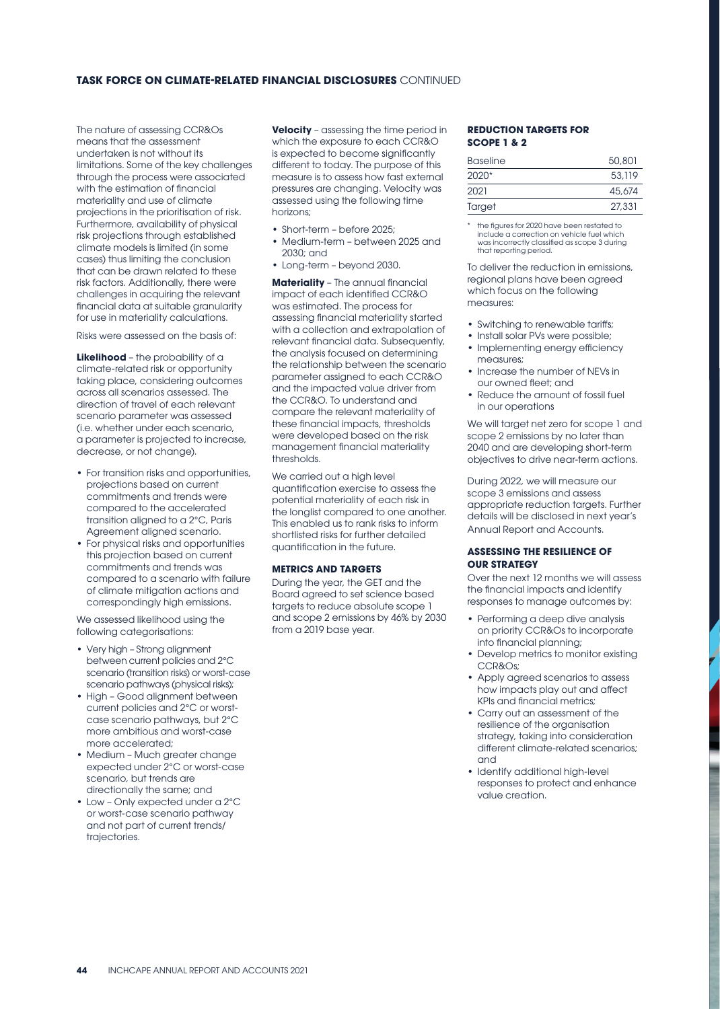### **TASK FORCE ON CLIMATE-RELATED FINANCIAL DISCLOSURES** CONTINUED

The nature of assessing CCR&Os means that the assessment undertaken is not without its limitations. Some of the key challenges through the process were associated with the estimation of financial materiality and use of climate projections in the prioritisation of risk. Furthermore, availability of physical risk projections through established climate models is limited (in some cases) thus limiting the conclusion that can be drawn related to these risk factors. Additionally, there were challenges in acquiring the relevant financial data at suitable granularity for use in materiality calculations.

Risks were assessed on the basis of:

**Likelihood** – the probability of a climate-related risk or opportunity taking place, considering outcomes across all scenarios assessed. The direction of travel of each relevant scenario parameter was assessed (i.e. whether under each scenario, a parameter is projected to increase, decrease, or not change).

- For transition risks and opportunities, projections based on current commitments and trends were compared to the accelerated transition aligned to a 2°C, Paris Agreement aligned scenario.
- For physical risks and opportunities this projection based on current commitments and trends was compared to a scenario with failure of climate mitigation actions and correspondingly high emissions.

We assessed likelihood using the following categorisations:

- Very high Strong alignment between current policies and 2°C scenario (transition risks) or worst-case scenario pathways (physical risks);
- High Good alignment between current policies and 2°C or worstcase scenario pathways, but 2°C more ambitious and worst-case more accelerated;
- Medium Much greater change expected under 2°C or worst-case scenario, but trends are directionally the same; and
- Low Only expected under a 2°C or worst-case scenario pathway and not part of current trends/ trajectories.

**Velocity** – assessing the time period in which the exposure to each CCR&O is expected to become significantly different to today. The purpose of this measure is to assess how fast external pressures are changing. Velocity was assessed using the following time horizons;

- Short-term before 2025;
- Medium-term between 2025 and 2030; and
- Long-term beyond 2030.

**Materiality** – The annual financial impact of each identified CCR&O was estimated. The process for assessing financial materiality started with a collection and extrapolation of relevant financial data. Subsequently, the analysis focused on determining the relationship between the scenario parameter assigned to each CCR&O and the impacted value driver from the CCR&O. To understand and compare the relevant materiality of these financial impacts, thresholds were developed based on the risk management financial materiality thresholds.

We carried out a high level quantification exercise to assess the potential materiality of each risk in the longlist compared to one another. This enabled us to rank risks to inform shortlisted risks for further detailed quantification in the future.

### **METRICS AND TARGETS**

During the year, the GET and the Board agreed to set science based targets to reduce absolute scope 1 and scope 2 emissions by 46% by 2030 from a 2019 base year.

### **REDUCTION TARGETS FOR SCOPE 1 & 2**

| <b>Baseline</b> | 50,801 |
|-----------------|--------|
| $2020*$         | 53.119 |
| 2021            | 45,674 |
| Target          | 27,331 |

the figures for 2020 have been restated to include a correction on vehicle fuel which was incorrectly classified as scope 3 during that reporting period.

To deliver the reduction in emissions, regional plans have been agreed which focus on the following measures:

- Switching to renewable tariffs;
- Install solar PVs were possible;
- Implementing energy efficiency measures;
- Increase the number of NEVs in our owned fleet; and
- Reduce the amount of fossil fuel in our operations

We will target net zero for scope 1 and scope 2 emissions by no later than 2040 and are developing short-term objectives to drive near-term actions.

During 2022, we will measure our scope 3 emissions and assess appropriate reduction targets. Further details will be disclosed in next year's Annual Report and Accounts.

### **ASSESSING THE RESILIENCE OF OUR STRATEGY**

Over the next 12 months we will assess the financial impacts and identify responses to manage outcomes by:

- Performing a deep dive analysis on priority CCR&Os to incorporate into financial planning;
- Develop metrics to monitor existing CCR&Os;
- Apply agreed scenarios to assess how impacts play out and affect KPIs and financial metrics;
- Carry out an assessment of the resilience of the organisation strategy, taking into consideration different climate-related scenarios; and
- Identify additional high-level responses to protect and enhance value creation.